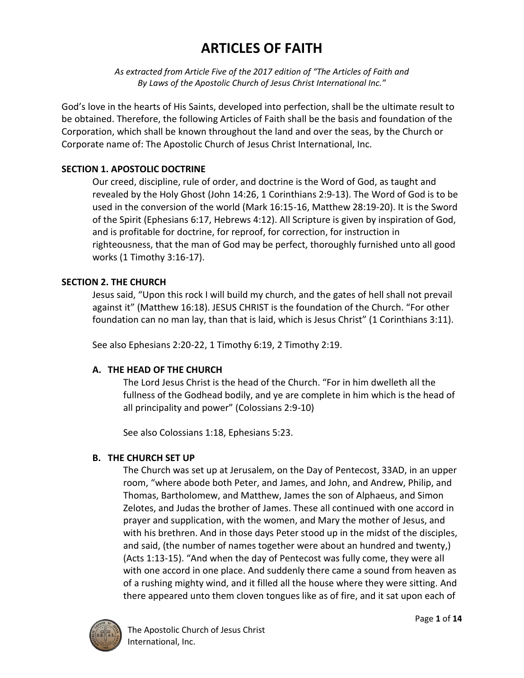# **ARTICLES OF FAITH**

*As extracted from Article Five of the 2017 edition of "The Articles of Faith and By Laws of the Apostolic Church of Jesus Christ International Inc."*

God's love in the hearts of His Saints, developed into perfection, shall be the ultimate result to be obtained. Therefore, the following Articles of Faith shall be the basis and foundation of the Corporation, which shall be known throughout the land and over the seas, by the Church or Corporate name of: The Apostolic Church of Jesus Christ International, Inc.

# **SECTION 1. APOSTOLIC DOCTRINE**

Our creed, discipline, rule of order, and doctrine is the Word of God, as taught and revealed by the Holy Ghost (John 14:26, 1 Corinthians 2:9-13). The Word of God is to be used in the conversion of the world (Mark 16:15-16, Matthew 28:19-20). It is the Sword of the Spirit (Ephesians 6:17, Hebrews 4:12). All Scripture is given by inspiration of God, and is profitable for doctrine, for reproof, for correction, for instruction in righteousness, that the man of God may be perfect, thoroughly furnished unto all good works (1 Timothy 3:16-17).

# **SECTION 2. THE CHURCH**

Jesus said, "Upon this rock I will build my church, and the gates of hell shall not prevail against it" (Matthew 16:18). JESUS CHRIST is the foundation of the Church. "For other foundation can no man lay, than that is laid, which is Jesus Christ" (1 Corinthians 3:11).

See also Ephesians 2:20-22, 1 Timothy 6:19, 2 Timothy 2:19.

# **A. THE HEAD OF THE CHURCH**

The Lord Jesus Christ is the head of the Church. "For in him dwelleth all the fullness of the Godhead bodily, and ye are complete in him which is the head of all principality and power" (Colossians 2:9-10)

See also Colossians 1:18, Ephesians 5:23.

# **B. THE CHURCH SET UP**

The Church was set up at Jerusalem, on the Day of Pentecost, 33AD, in an upper room, "where abode both Peter, and James, and John, and Andrew, Philip, and Thomas, Bartholomew, and Matthew, James the son of Alphaeus, and Simon Zelotes, and Judas the brother of James. These all continued with one accord in prayer and supplication, with the women, and Mary the mother of Jesus, and with his brethren. And in those days Peter stood up in the midst of the disciples, and said, (the number of names together were about an hundred and twenty,) (Acts 1:13-15). "And when the day of Pentecost was fully come, they were all with one accord in one place. And suddenly there came a sound from heaven as of a rushing mighty wind, and it filled all the house where they were sitting. And there appeared unto them cloven tongues like as of fire, and it sat upon each of

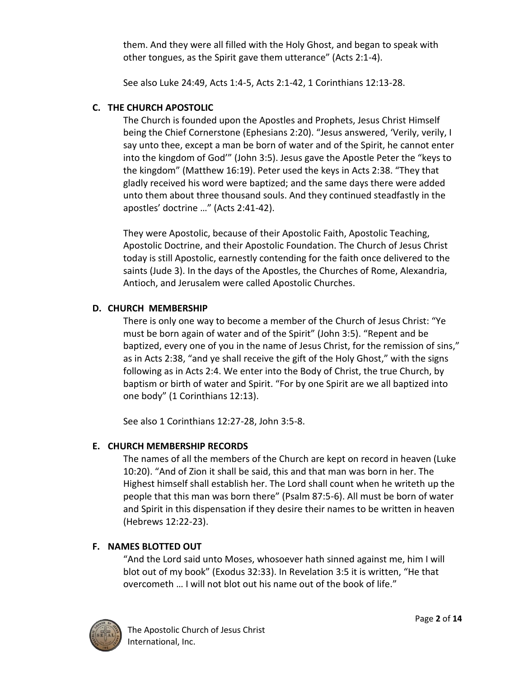them. And they were all filled with the Holy Ghost, and began to speak with other tongues, as the Spirit gave them utterance" (Acts 2:1-4).

See also Luke 24:49, Acts 1:4-5, Acts 2:1-42, 1 Corinthians 12:13-28.

# **C. THE CHURCH APOSTOLIC**

The Church is founded upon the Apostles and Prophets, Jesus Christ Himself being the Chief Cornerstone (Ephesians 2:20). "Jesus answered, 'Verily, verily, I say unto thee, except a man be born of water and of the Spirit, he cannot enter into the kingdom of God'" (John 3:5). Jesus gave the Apostle Peter the "keys to the kingdom" (Matthew 16:19). Peter used the keys in Acts 2:38. "They that gladly received his word were baptized; and the same days there were added unto them about three thousand souls. And they continued steadfastly in the apostles' doctrine …" (Acts 2:41-42).

They were Apostolic, because of their Apostolic Faith, Apostolic Teaching, Apostolic Doctrine, and their Apostolic Foundation. The Church of Jesus Christ today is still Apostolic, earnestly contending for the faith once delivered to the saints (Jude 3). In the days of the Apostles, the Churches of Rome, Alexandria, Antioch, and Jerusalem were called Apostolic Churches.

# **D. CHURCH MEMBERSHIP**

There is only one way to become a member of the Church of Jesus Christ: "Ye must be born again of water and of the Spirit" (John 3:5). "Repent and be baptized, every one of you in the name of Jesus Christ, for the remission of sins," as in Acts 2:38, "and ye shall receive the gift of the Holy Ghost," with the signs following as in Acts 2:4. We enter into the Body of Christ, the true Church, by baptism or birth of water and Spirit. "For by one Spirit are we all baptized into one body" (1 Corinthians 12:13).

See also 1 Corinthians 12:27-28, John 3:5-8.

# **E. CHURCH MEMBERSHIP RECORDS**

The names of all the members of the Church are kept on record in heaven (Luke 10:20). "And of Zion it shall be said, this and that man was born in her. The Highest himself shall establish her. The Lord shall count when he writeth up the people that this man was born there" (Psalm 87:5-6). All must be born of water and Spirit in this dispensation if they desire their names to be written in heaven (Hebrews 12:22-23).

# **F. NAMES BLOTTED OUT**

"And the Lord said unto Moses, whosoever hath sinned against me, him I will blot out of my book" (Exodus 32:33). In Revelation 3:5 it is written, "He that overcometh … I will not blot out his name out of the book of life."

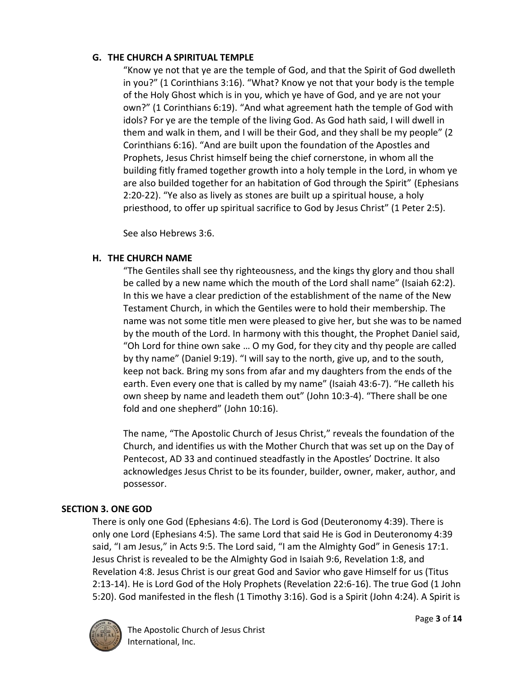## **G. THE CHURCH A SPIRITUAL TEMPLE**

"Know ye not that ye are the temple of God, and that the Spirit of God dwelleth in you?" (1 Corinthians 3:16). "What? Know ye not that your body is the temple of the Holy Ghost which is in you, which ye have of God, and ye are not your own?" (1 Corinthians 6:19). "And what agreement hath the temple of God with idols? For ye are the temple of the living God. As God hath said, I will dwell in them and walk in them, and I will be their God, and they shall be my people" (2 Corinthians 6:16). "And are built upon the foundation of the Apostles and Prophets, Jesus Christ himself being the chief cornerstone, in whom all the building fitly framed together growth into a holy temple in the Lord, in whom ye are also builded together for an habitation of God through the Spirit" (Ephesians 2:20-22). "Ye also as lively as stones are built up a spiritual house, a holy priesthood, to offer up spiritual sacrifice to God by Jesus Christ" (1 Peter 2:5).

See also Hebrews 3:6.

# **H. THE CHURCH NAME**

"The Gentiles shall see thy righteousness, and the kings thy glory and thou shall be called by a new name which the mouth of the Lord shall name" (Isaiah 62:2). In this we have a clear prediction of the establishment of the name of the New Testament Church, in which the Gentiles were to hold their membership. The name was not some title men were pleased to give her, but she was to be named by the mouth of the Lord. In harmony with this thought, the Prophet Daniel said, "Oh Lord for thine own sake … O my God, for they city and thy people are called by thy name" (Daniel 9:19). "I will say to the north, give up, and to the south, keep not back. Bring my sons from afar and my daughters from the ends of the earth. Even every one that is called by my name" (Isaiah 43:6-7). "He calleth his own sheep by name and leadeth them out" (John 10:3-4). "There shall be one fold and one shepherd" (John 10:16).

The name, "The Apostolic Church of Jesus Christ," reveals the foundation of the Church, and identifies us with the Mother Church that was set up on the Day of Pentecost, AD 33 and continued steadfastly in the Apostles' Doctrine. It also acknowledges Jesus Christ to be its founder, builder, owner, maker, author, and possessor.

# **SECTION 3. ONE GOD**

There is only one God (Ephesians 4:6). The Lord is God (Deuteronomy 4:39). There is only one Lord (Ephesians 4:5). The same Lord that said He is God in Deuteronomy 4:39 said, "I am Jesus," in Acts 9:5. The Lord said, "I am the Almighty God" in Genesis 17:1. Jesus Christ is revealed to be the Almighty God in Isaiah 9:6, Revelation 1:8, and Revelation 4:8. Jesus Christ is our great God and Savior who gave Himself for us (Titus 2:13-14). He is Lord God of the Holy Prophets (Revelation 22:6-16). The true God (1 John 5:20). God manifested in the flesh (1 Timothy 3:16). God is a Spirit (John 4:24). A Spirit is

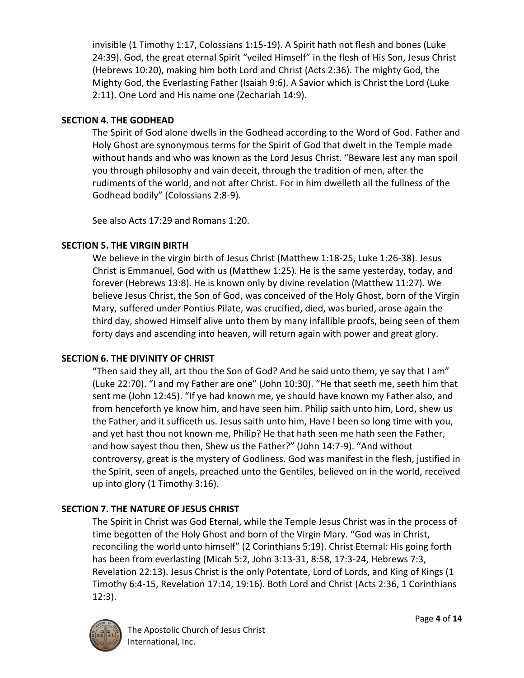invisible (1 Timothy 1:17, Colossians 1:15-19). A Spirit hath not flesh and bones (Luke 24:39). God, the great eternal Spirit "veiled Himself" in the flesh of His Son, Jesus Christ (Hebrews 10:20), making him both Lord and Christ (Acts 2:36). The mighty God, the Mighty God, the Everlasting Father (Isaiah 9:6). A Savior which is Christ the Lord (Luke 2:11). One Lord and His name one (Zechariah 14:9).

## **SECTION 4. THE GODHEAD**

The Spirit of God alone dwells in the Godhead according to the Word of God. Father and Holy Ghost are synonymous terms for the Spirit of God that dwelt in the Temple made without hands and who was known as the Lord Jesus Christ. "Beware lest any man spoil you through philosophy and vain deceit, through the tradition of men, after the rudiments of the world, and not after Christ. For in him dwelleth all the fullness of the Godhead bodily" (Colossians 2:8-9).

See also Acts 17:29 and Romans 1:20.

#### **SECTION 5. THE VIRGIN BIRTH**

We believe in the virgin birth of Jesus Christ (Matthew 1:18-25, Luke 1:26-38). Jesus Christ is Emmanuel, God with us (Matthew 1:25). He is the same yesterday, today, and forever (Hebrews 13:8). He is known only by divine revelation (Matthew 11:27). We believe Jesus Christ, the Son of God, was conceived of the Holy Ghost, born of the Virgin Mary, suffered under Pontius Pilate, was crucified, died, was buried, arose again the third day, showed Himself alive unto them by many infallible proofs, being seen of them forty days and ascending into heaven, will return again with power and great glory.

## **SECTION 6. THE DIVINITY OF CHRIST**

"Then said they all, art thou the Son of God? And he said unto them, ye say that I am" (Luke 22:70). "I and my Father are one" (John 10:30). "He that seeth me, seeth him that sent me (John 12:45). "If ye had known me, ye should have known my Father also, and from henceforth ye know him, and have seen him. Philip saith unto him, Lord, shew us the Father, and it sufficeth us. Jesus saith unto him, Have I been so long time with you, and yet hast thou not known me, Philip? He that hath seen me hath seen the Father, and how sayest thou then, Shew us the Father?" (John 14:7-9). "And without controversy, great is the mystery of Godliness. God was manifest in the flesh, justified in the Spirit, seen of angels, preached unto the Gentiles, believed on in the world, received up into glory (1 Timothy 3:16).

## **SECTION 7. THE NATURE OF JESUS CHRIST**

The Spirit in Christ was God Eternal, while the Temple Jesus Christ was in the process of time begotten of the Holy Ghost and born of the Virgin Mary. "God was in Christ, reconciling the world unto himself" (2 Corinthians 5:19). Christ Eternal: His going forth has been from everlasting (Micah 5:2, John 3:13-31, 8:58, 17:3-24, Hebrews 7:3, Revelation 22:13). Jesus Christ is the only Potentate, Lord of Lords, and King of Kings (1 Timothy 6:4-15, Revelation 17:14, 19:16). Both Lord and Christ (Acts 2:36, 1 Corinthians 12:3).

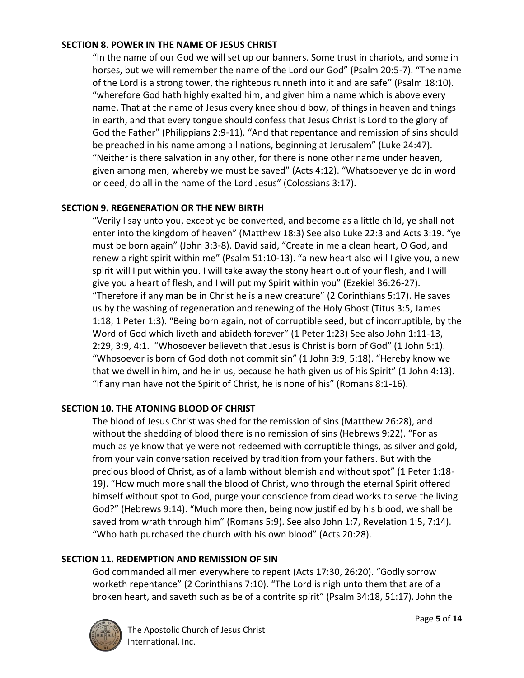#### **SECTION 8. POWER IN THE NAME OF JESUS CHRIST**

"In the name of our God we will set up our banners. Some trust in chariots, and some in horses, but we will remember the name of the Lord our God" (Psalm 20:5-7). "The name of the Lord is a strong tower, the righteous runneth into it and are safe" (Psalm 18:10). "wherefore God hath highly exalted him, and given him a name which is above every name. That at the name of Jesus every knee should bow, of things in heaven and things in earth, and that every tongue should confess that Jesus Christ is Lord to the glory of God the Father" (Philippians 2:9-11). "And that repentance and remission of sins should be preached in his name among all nations, beginning at Jerusalem" (Luke 24:47). "Neither is there salvation in any other, for there is none other name under heaven, given among men, whereby we must be saved" (Acts 4:12). "Whatsoever ye do in word or deed, do all in the name of the Lord Jesus" (Colossians 3:17).

#### **SECTION 9. REGENERATION OR THE NEW BIRTH**

"Verily I say unto you, except ye be converted, and become as a little child, ye shall not enter into the kingdom of heaven" (Matthew 18:3) See also Luke 22:3 and Acts 3:19. "ye must be born again" (John 3:3-8). David said, "Create in me a clean heart, O God, and renew a right spirit within me" (Psalm 51:10-13). "a new heart also will I give you, a new spirit will I put within you. I will take away the stony heart out of your flesh, and I will give you a heart of flesh, and I will put my Spirit within you" (Ezekiel 36:26-27). "Therefore if any man be in Christ he is a new creature" (2 Corinthians 5:17). He saves us by the washing of regeneration and renewing of the Holy Ghost (Titus 3:5, James 1:18, 1 Peter 1:3). "Being born again, not of corruptible seed, but of incorruptible, by the Word of God which liveth and abideth forever" (1 Peter 1:23) See also John 1:11-13, 2:29, 3:9, 4:1. "Whosoever believeth that Jesus is Christ is born of God" (1 John 5:1). "Whosoever is born of God doth not commit sin" (1 John 3:9, 5:18). "Hereby know we that we dwell in him, and he in us, because he hath given us of his Spirit" (1 John 4:13). "If any man have not the Spirit of Christ, he is none of his" (Romans 8:1-16).

## **SECTION 10. THE ATONING BLOOD OF CHRIST**

The blood of Jesus Christ was shed for the remission of sins (Matthew 26:28), and without the shedding of blood there is no remission of sins (Hebrews 9:22). "For as much as ye know that ye were not redeemed with corruptible things, as silver and gold, from your vain conversation received by tradition from your fathers. But with the precious blood of Christ, as of a lamb without blemish and without spot" (1 Peter 1:18- 19). "How much more shall the blood of Christ, who through the eternal Spirit offered himself without spot to God, purge your conscience from dead works to serve the living God?" (Hebrews 9:14). "Much more then, being now justified by his blood, we shall be saved from wrath through him" (Romans 5:9). See also John 1:7, Revelation 1:5, 7:14). "Who hath purchased the church with his own blood" (Acts 20:28).

## **SECTION 11. REDEMPTION AND REMISSION OF SIN**

God commanded all men everywhere to repent (Acts 17:30, 26:20). "Godly sorrow worketh repentance" (2 Corinthians 7:10). "The Lord is nigh unto them that are of a broken heart, and saveth such as be of a contrite spirit" (Psalm 34:18, 51:17). John the

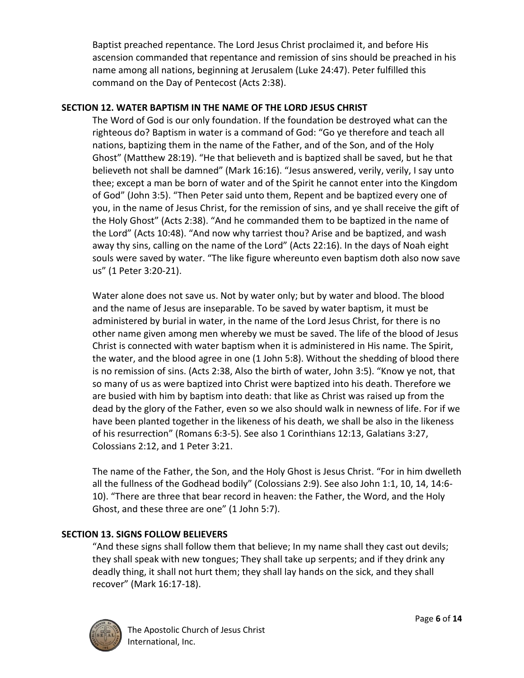Baptist preached repentance. The Lord Jesus Christ proclaimed it, and before His ascension commanded that repentance and remission of sins should be preached in his name among all nations, beginning at Jerusalem (Luke 24:47). Peter fulfilled this command on the Day of Pentecost (Acts 2:38).

# **SECTION 12. WATER BAPTISM IN THE NAME OF THE LORD JESUS CHRIST**

The Word of God is our only foundation. If the foundation be destroyed what can the righteous do? Baptism in water is a command of God: "Go ye therefore and teach all nations, baptizing them in the name of the Father, and of the Son, and of the Holy Ghost" (Matthew 28:19). "He that believeth and is baptized shall be saved, but he that believeth not shall be damned" (Mark 16:16). "Jesus answered, verily, verily, I say unto thee; except a man be born of water and of the Spirit he cannot enter into the Kingdom of God" (John 3:5). "Then Peter said unto them, Repent and be baptized every one of you, in the name of Jesus Christ, for the remission of sins, and ye shall receive the gift of the Holy Ghost" (Acts 2:38). "And he commanded them to be baptized in the name of the Lord" (Acts 10:48). "And now why tarriest thou? Arise and be baptized, and wash away thy sins, calling on the name of the Lord" (Acts 22:16). In the days of Noah eight souls were saved by water. "The like figure whereunto even baptism doth also now save us" (1 Peter 3:20-21).

Water alone does not save us. Not by water only; but by water and blood. The blood and the name of Jesus are inseparable. To be saved by water baptism, it must be administered by burial in water, in the name of the Lord Jesus Christ, for there is no other name given among men whereby we must be saved. The life of the blood of Jesus Christ is connected with water baptism when it is administered in His name. The Spirit, the water, and the blood agree in one (1 John 5:8). Without the shedding of blood there is no remission of sins. (Acts 2:38, Also the birth of water, John 3:5). "Know ye not, that so many of us as were baptized into Christ were baptized into his death. Therefore we are busied with him by baptism into death: that like as Christ was raised up from the dead by the glory of the Father, even so we also should walk in newness of life. For if we have been planted together in the likeness of his death, we shall be also in the likeness of his resurrection" (Romans 6:3-5). See also 1 Corinthians 12:13, Galatians 3:27, Colossians 2:12, and 1 Peter 3:21.

The name of the Father, the Son, and the Holy Ghost is Jesus Christ. "For in him dwelleth all the fullness of the Godhead bodily" (Colossians 2:9). See also John 1:1, 10, 14, 14:6- 10). "There are three that bear record in heaven: the Father, the Word, and the Holy Ghost, and these three are one" (1 John 5:7).

# **SECTION 13. SIGNS FOLLOW BELIEVERS**

"And these signs shall follow them that believe; In my name shall they cast out devils; they shall speak with new tongues; They shall take up serpents; and if they drink any deadly thing, it shall not hurt them; they shall lay hands on the sick, and they shall recover" (Mark 16:17-18).

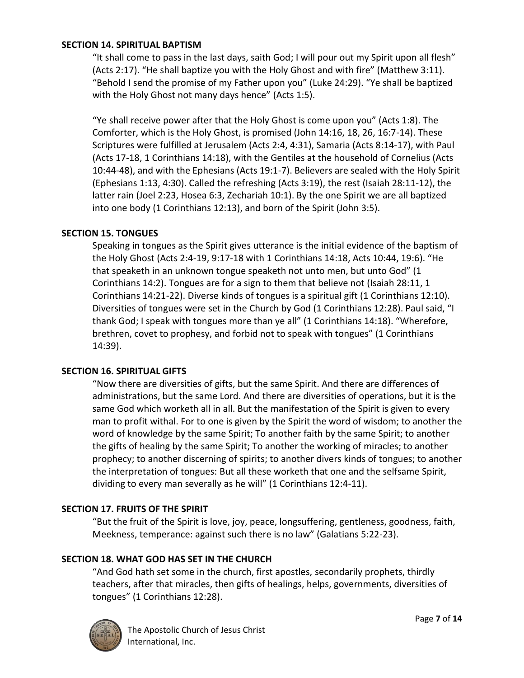#### **SECTION 14. SPIRITUAL BAPTISM**

"It shall come to pass in the last days, saith God; I will pour out my Spirit upon all flesh" (Acts 2:17). "He shall baptize you with the Holy Ghost and with fire" (Matthew 3:11). "Behold I send the promise of my Father upon you" (Luke 24:29). "Ye shall be baptized with the Holy Ghost not many days hence" (Acts 1:5).

"Ye shall receive power after that the Holy Ghost is come upon you" (Acts 1:8). The Comforter, which is the Holy Ghost, is promised (John 14:16, 18, 26, 16:7-14). These Scriptures were fulfilled at Jerusalem (Acts 2:4, 4:31), Samaria (Acts 8:14-17), with Paul (Acts 17-18, 1 Corinthians 14:18), with the Gentiles at the household of Cornelius (Acts 10:44-48), and with the Ephesians (Acts 19:1-7). Believers are sealed with the Holy Spirit (Ephesians 1:13, 4:30). Called the refreshing (Acts 3:19), the rest (Isaiah 28:11-12), the latter rain (Joel 2:23, Hosea 6:3, Zechariah 10:1). By the one Spirit we are all baptized into one body (1 Corinthians 12:13), and born of the Spirit (John 3:5).

## **SECTION 15. TONGUES**

Speaking in tongues as the Spirit gives utterance is the initial evidence of the baptism of the Holy Ghost (Acts 2:4-19, 9:17-18 with 1 Corinthians 14:18, Acts 10:44, 19:6). "He that speaketh in an unknown tongue speaketh not unto men, but unto God" (1 Corinthians 14:2). Tongues are for a sign to them that believe not (Isaiah 28:11, 1 Corinthians 14:21-22). Diverse kinds of tongues is a spiritual gift (1 Corinthians 12:10). Diversities of tongues were set in the Church by God (1 Corinthians 12:28). Paul said, "I thank God; I speak with tongues more than ye all" (1 Corinthians 14:18). "Wherefore, brethren, covet to prophesy, and forbid not to speak with tongues" (1 Corinthians 14:39).

#### **SECTION 16. SPIRITUAL GIFTS**

"Now there are diversities of gifts, but the same Spirit. And there are differences of administrations, but the same Lord. And there are diversities of operations, but it is the same God which worketh all in all. But the manifestation of the Spirit is given to every man to profit withal. For to one is given by the Spirit the word of wisdom; to another the word of knowledge by the same Spirit; To another faith by the same Spirit; to another the gifts of healing by the same Spirit; To another the working of miracles; to another prophecy; to another discerning of spirits; to another divers kinds of tongues; to another the interpretation of tongues: But all these worketh that one and the selfsame Spirit, dividing to every man severally as he will" (1 Corinthians 12:4-11).

## **SECTION 17. FRUITS OF THE SPIRIT**

"But the fruit of the Spirit is love, joy, peace, longsuffering, gentleness, goodness, faith, Meekness, temperance: against such there is no law" (Galatians 5:22-23).

## **SECTION 18. WHAT GOD HAS SET IN THE CHURCH**

"And God hath set some in the church, first apostles, secondarily prophets, thirdly teachers, after that miracles, then gifts of healings, helps, governments, diversities of tongues" (1 Corinthians 12:28).

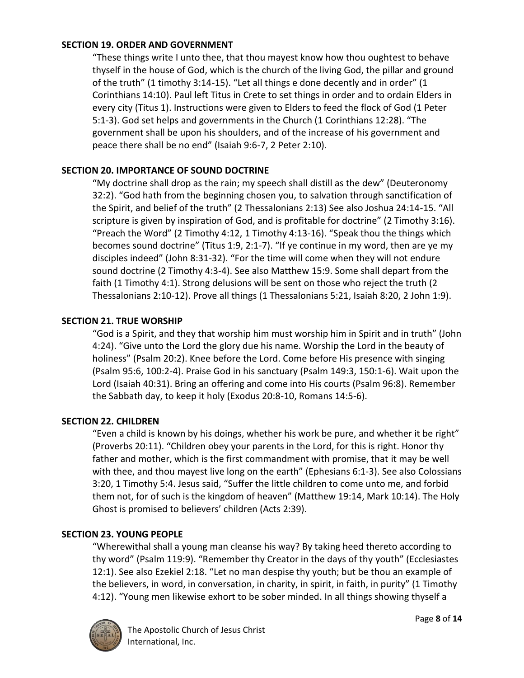#### **SECTION 19. ORDER AND GOVERNMENT**

"These things write I unto thee, that thou mayest know how thou oughtest to behave thyself in the house of God, which is the church of the living God, the pillar and ground of the truth" (1 timothy 3:14-15). "Let all things e done decently and in order" (1 Corinthians 14:10). Paul left Titus in Crete to set things in order and to ordain Elders in every city (Titus 1). Instructions were given to Elders to feed the flock of God (1 Peter 5:1-3). God set helps and governments in the Church (1 Corinthians 12:28). "The government shall be upon his shoulders, and of the increase of his government and peace there shall be no end" (Isaiah 9:6-7, 2 Peter 2:10).

# **SECTION 20. IMPORTANCE OF SOUND DOCTRINE**

"My doctrine shall drop as the rain; my speech shall distill as the dew" (Deuteronomy 32:2). "God hath from the beginning chosen you, to salvation through sanctification of the Spirit, and belief of the truth" (2 Thessalonians 2:13) See also Joshua 24:14-15. "All scripture is given by inspiration of God, and is profitable for doctrine" (2 Timothy 3:16). "Preach the Word" (2 Timothy 4:12, 1 Timothy 4:13-16). "Speak thou the things which becomes sound doctrine" (Titus 1:9, 2:1-7). "If ye continue in my word, then are ye my disciples indeed" (John 8:31-32). "For the time will come when they will not endure sound doctrine (2 Timothy 4:3-4). See also Matthew 15:9. Some shall depart from the faith (1 Timothy 4:1). Strong delusions will be sent on those who reject the truth (2 Thessalonians 2:10-12). Prove all things (1 Thessalonians 5:21, Isaiah 8:20, 2 John 1:9).

## **SECTION 21. TRUE WORSHIP**

"God is a Spirit, and they that worship him must worship him in Spirit and in truth" (John 4:24). "Give unto the Lord the glory due his name. Worship the Lord in the beauty of holiness" (Psalm 20:2). Knee before the Lord. Come before His presence with singing (Psalm 95:6, 100:2-4). Praise God in his sanctuary (Psalm 149:3, 150:1-6). Wait upon the Lord (Isaiah 40:31). Bring an offering and come into His courts (Psalm 96:8). Remember the Sabbath day, to keep it holy (Exodus 20:8-10, Romans 14:5-6).

## **SECTION 22. CHILDREN**

"Even a child is known by his doings, whether his work be pure, and whether it be right" (Proverbs 20:11). "Children obey your parents in the Lord, for this is right. Honor thy father and mother, which is the first commandment with promise, that it may be well with thee, and thou mayest live long on the earth" (Ephesians 6:1-3). See also Colossians 3:20, 1 Timothy 5:4. Jesus said, "Suffer the little children to come unto me, and forbid them not, for of such is the kingdom of heaven" (Matthew 19:14, Mark 10:14). The Holy Ghost is promised to believers' children (Acts 2:39).

## **SECTION 23. YOUNG PEOPLE**

"Wherewithal shall a young man cleanse his way? By taking heed thereto according to thy word" (Psalm 119:9). "Remember thy Creator in the days of thy youth" (Ecclesiastes 12:1). See also Ezekiel 2:18. "Let no man despise thy youth; but be thou an example of the believers, in word, in conversation, in charity, in spirit, in faith, in purity" (1 Timothy 4:12). "Young men likewise exhort to be sober minded. In all things showing thyself a

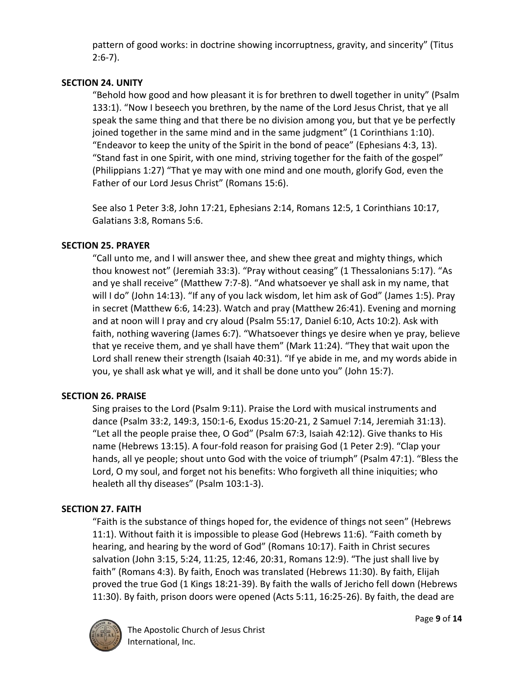pattern of good works: in doctrine showing incorruptness, gravity, and sincerity" (Titus 2:6-7).

# **SECTION 24. UNITY**

"Behold how good and how pleasant it is for brethren to dwell together in unity" (Psalm 133:1). "Now I beseech you brethren, by the name of the Lord Jesus Christ, that ye all speak the same thing and that there be no division among you, but that ye be perfectly joined together in the same mind and in the same judgment" (1 Corinthians 1:10). "Endeavor to keep the unity of the Spirit in the bond of peace" (Ephesians 4:3, 13). "Stand fast in one Spirit, with one mind, striving together for the faith of the gospel" (Philippians 1:27) "That ye may with one mind and one mouth, glorify God, even the Father of our Lord Jesus Christ" (Romans 15:6).

See also 1 Peter 3:8, John 17:21, Ephesians 2:14, Romans 12:5, 1 Corinthians 10:17, Galatians 3:8, Romans 5:6.

#### **SECTION 25. PRAYER**

"Call unto me, and I will answer thee, and shew thee great and mighty things, which thou knowest not" (Jeremiah 33:3). "Pray without ceasing" (1 Thessalonians 5:17). "As and ye shall receive" (Matthew 7:7-8). "And whatsoever ye shall ask in my name, that will I do" (John 14:13). "If any of you lack wisdom, let him ask of God" (James 1:5). Pray in secret (Matthew 6:6, 14:23). Watch and pray (Matthew 26:41). Evening and morning and at noon will I pray and cry aloud (Psalm 55:17, Daniel 6:10, Acts 10:2). Ask with faith, nothing wavering (James 6:7). "Whatsoever things ye desire when ye pray, believe that ye receive them, and ye shall have them" (Mark 11:24). "They that wait upon the Lord shall renew their strength (Isaiah 40:31). "If ye abide in me, and my words abide in you, ye shall ask what ye will, and it shall be done unto you" (John 15:7).

## **SECTION 26. PRAISE**

Sing praises to the Lord (Psalm 9:11). Praise the Lord with musical instruments and dance (Psalm 33:2, 149:3, 150:1-6, Exodus 15:20-21, 2 Samuel 7:14, Jeremiah 31:13). "Let all the people praise thee, O God" (Psalm 67:3, Isaiah 42:12). Give thanks to His name (Hebrews 13:15). A four-fold reason for praising God (1 Peter 2:9). "Clap your hands, all ye people; shout unto God with the voice of triumph" (Psalm 47:1). "Bless the Lord, O my soul, and forget not his benefits: Who forgiveth all thine iniquities; who healeth all thy diseases" (Psalm 103:1-3).

## **SECTION 27. FAITH**

"Faith is the substance of things hoped for, the evidence of things not seen" (Hebrews 11:1). Without faith it is impossible to please God (Hebrews 11:6). "Faith cometh by hearing, and hearing by the word of God" (Romans 10:17). Faith in Christ secures salvation (John 3:15, 5:24, 11:25, 12:46, 20:31, Romans 12:9). "The just shall live by faith" (Romans 4:3). By faith, Enoch was translated (Hebrews 11:30). By faith, Elijah proved the true God (1 Kings 18:21-39). By faith the walls of Jericho fell down (Hebrews 11:30). By faith, prison doors were opened (Acts 5:11, 16:25-26). By faith, the dead are

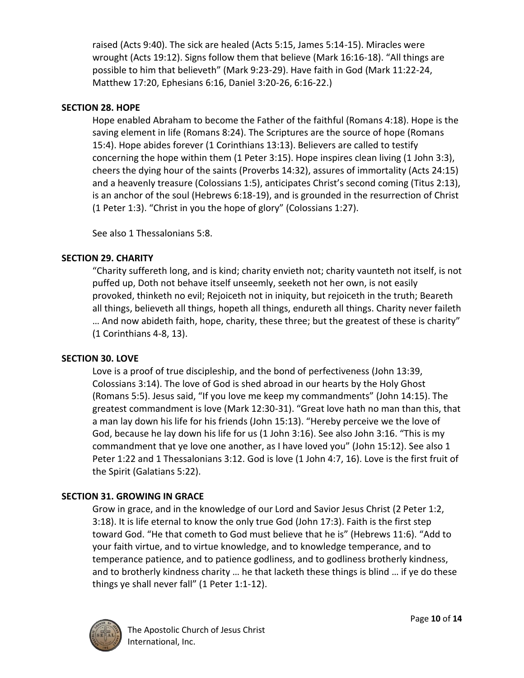raised (Acts 9:40). The sick are healed (Acts 5:15, James 5:14-15). Miracles were wrought (Acts 19:12). Signs follow them that believe (Mark 16:16-18). "All things are possible to him that believeth" (Mark 9:23-29). Have faith in God (Mark 11:22-24, Matthew 17:20, Ephesians 6:16, Daniel 3:20-26, 6:16-22.)

## **SECTION 28. HOPE**

Hope enabled Abraham to become the Father of the faithful (Romans 4:18). Hope is the saving element in life (Romans 8:24). The Scriptures are the source of hope (Romans 15:4). Hope abides forever (1 Corinthians 13:13). Believers are called to testify concerning the hope within them (1 Peter 3:15). Hope inspires clean living (1 John 3:3), cheers the dying hour of the saints (Proverbs 14:32), assures of immortality (Acts 24:15) and a heavenly treasure (Colossians 1:5), anticipates Christ's second coming (Titus 2:13), is an anchor of the soul (Hebrews 6:18-19), and is grounded in the resurrection of Christ (1 Peter 1:3). "Christ in you the hope of glory" (Colossians 1:27).

See also 1 Thessalonians 5:8.

# **SECTION 29. CHARITY**

"Charity suffereth long, and is kind; charity envieth not; charity vaunteth not itself, is not puffed up, Doth not behave itself unseemly, seeketh not her own, is not easily provoked, thinketh no evil; Rejoiceth not in iniquity, but rejoiceth in the truth; Beareth all things, believeth all things, hopeth all things, endureth all things. Charity never faileth … And now abideth faith, hope, charity, these three; but the greatest of these is charity" (1 Corinthians 4-8, 13).

## **SECTION 30. LOVE**

Love is a proof of true discipleship, and the bond of perfectiveness (John 13:39, Colossians 3:14). The love of God is shed abroad in our hearts by the Holy Ghost (Romans 5:5). Jesus said, "If you love me keep my commandments" (John 14:15). The greatest commandment is love (Mark 12:30-31). "Great love hath no man than this, that a man lay down his life for his friends (John 15:13). "Hereby perceive we the love of God, because he lay down his life for us (1 John 3:16). See also John 3:16. "This is my commandment that ye love one another, as I have loved you" (John 15:12). See also 1 Peter 1:22 and 1 Thessalonians 3:12. God is love (1 John 4:7, 16). Love is the first fruit of the Spirit (Galatians 5:22).

# **SECTION 31. GROWING IN GRACE**

Grow in grace, and in the knowledge of our Lord and Savior Jesus Christ (2 Peter 1:2, 3:18). It is life eternal to know the only true God (John 17:3). Faith is the first step toward God. "He that cometh to God must believe that he is" (Hebrews 11:6). "Add to your faith virtue, and to virtue knowledge, and to knowledge temperance, and to temperance patience, and to patience godliness, and to godliness brotherly kindness, and to brotherly kindness charity … he that lacketh these things is blind … if ye do these things ye shall never fall" (1 Peter 1:1-12).

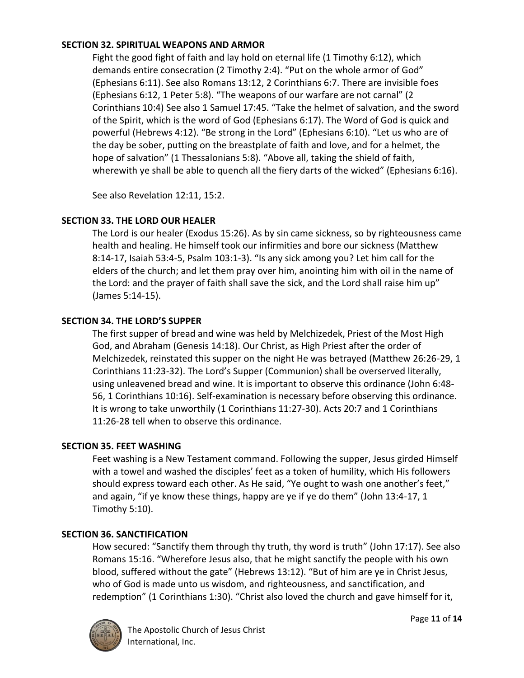## **SECTION 32. SPIRITUAL WEAPONS AND ARMOR**

Fight the good fight of faith and lay hold on eternal life (1 Timothy 6:12), which demands entire consecration (2 Timothy 2:4). "Put on the whole armor of God" (Ephesians 6:11). See also Romans 13:12, 2 Corinthians 6:7. There are invisible foes (Ephesians 6:12, 1 Peter 5:8). "The weapons of our warfare are not carnal" (2 Corinthians 10:4) See also 1 Samuel 17:45. "Take the helmet of salvation, and the sword of the Spirit, which is the word of God (Ephesians 6:17). The Word of God is quick and powerful (Hebrews 4:12). "Be strong in the Lord" (Ephesians 6:10). "Let us who are of the day be sober, putting on the breastplate of faith and love, and for a helmet, the hope of salvation" (1 Thessalonians 5:8). "Above all, taking the shield of faith, wherewith ye shall be able to quench all the fiery darts of the wicked" (Ephesians 6:16).

See also Revelation 12:11, 15:2.

## **SECTION 33. THE LORD OUR HEALER**

The Lord is our healer (Exodus 15:26). As by sin came sickness, so by righteousness came health and healing. He himself took our infirmities and bore our sickness (Matthew 8:14-17, Isaiah 53:4-5, Psalm 103:1-3). "Is any sick among you? Let him call for the elders of the church; and let them pray over him, anointing him with oil in the name of the Lord: and the prayer of faith shall save the sick, and the Lord shall raise him up" (James 5:14-15).

## **SECTION 34. THE LORD'S SUPPER**

The first supper of bread and wine was held by Melchizedek, Priest of the Most High God, and Abraham (Genesis 14:18). Our Christ, as High Priest after the order of Melchizedek, reinstated this supper on the night He was betrayed (Matthew 26:26-29, 1 Corinthians 11:23-32). The Lord's Supper (Communion) shall be overserved literally, using unleavened bread and wine. It is important to observe this ordinance (John 6:48- 56, 1 Corinthians 10:16). Self-examination is necessary before observing this ordinance. It is wrong to take unworthily (1 Corinthians 11:27-30). Acts 20:7 and 1 Corinthians 11:26-28 tell when to observe this ordinance.

## **SECTION 35. FEET WASHING**

Feet washing is a New Testament command. Following the supper, Jesus girded Himself with a towel and washed the disciples' feet as a token of humility, which His followers should express toward each other. As He said, "Ye ought to wash one another's feet," and again, "if ye know these things, happy are ye if ye do them" (John 13:4-17, 1 Timothy 5:10).

## **SECTION 36. SANCTIFICATION**

How secured: "Sanctify them through thy truth, thy word is truth" (John 17:17). See also Romans 15:16. "Wherefore Jesus also, that he might sanctify the people with his own blood, suffered without the gate" (Hebrews 13:12). "But of him are ye in Christ Jesus, who of God is made unto us wisdom, and righteousness, and sanctification, and redemption" (1 Corinthians 1:30). "Christ also loved the church and gave himself for it,

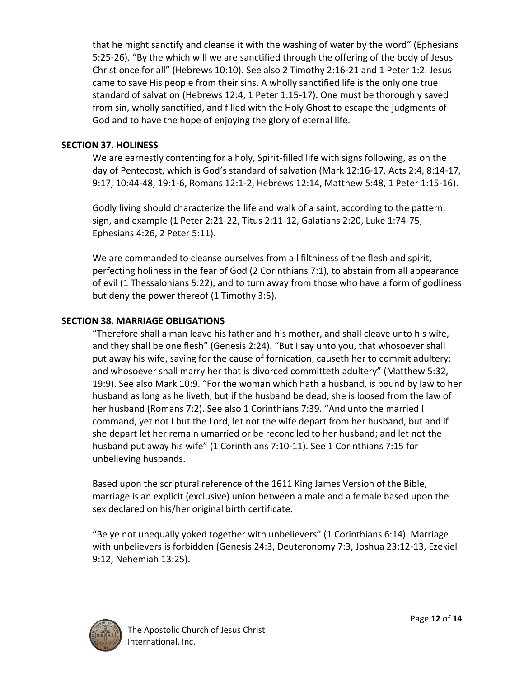that he might sanctify and cleanse it with the washing of water by the word" (Ephesians 5:25-26). "By the which will we are sanctified through the offering of the body of Jesus Christ once for all" (Hebrews 10:10). See also 2 Timothy 2:16-21 and 1 Peter 1:2. Jesus came to save His people from their sins. A wholly sanctified life is the only one true standard of salvation (Hebrews 12:4, 1 Peter 1:15-17). One must be thoroughly saved from sin, wholly sanctified, and filled with the Holy Ghost to escape the judgments of God and to have the hope of enjoying the glory of eternal life.

#### **SECTION 37. HOLINESS**

We are earnestly contenting for a holy, Spirit-filled life with signs following, as on the day of Pentecost, which is God's standard of salvation (Mark 12:16-17, Acts 2:4, 8:14-17, 9:17, 10:44-48, 19:1-6, Romans 12:1-2, Hebrews 12:14, Matthew 5:48, 1 Peter 1:15-16).

Godly living should characterize the life and walk of a saint, according to the pattern, sign, and example (1 Peter 2:21-22, Titus 2:11-12, Galatians 2:20, Luke 1:74-75, Ephesians 4:26, 2 Peter 5:11).

We are commanded to cleanse ourselves from all filthiness of the flesh and spirit, perfecting holiness in the fear of God (2 Corinthians 7:1), to abstain from all appearance of evil (1 Thessalonians 5:22), and to turn away from those who have a form of godliness but deny the power thereof (1 Timothy 3:5).

## **SECTION 38. MARRIAGE OBLIGATIONS**

"Therefore shall a man leave his father and his mother, and shall cleave unto his wife, and they shall be one flesh" (Genesis 2:24). "But I say unto you, that whosoever shall put away his wife, saving for the cause of fornication, causeth her to commit adultery: and whosoever shall marry her that is divorced committeth adultery" (Matthew 5:32, 19:9). See also Mark 10:9. "For the woman which hath a husband, is bound by law to her husband as long as he liveth, but if the husband be dead, she is loosed from the law of her husband (Romans 7:2). See also 1 Corinthians 7:39. "And unto the married I command, yet not I but the Lord, let not the wife depart from her husband, but and if she depart let her remain umarried or be reconciled to her husband; and let not the husband put away his wife" (1 Corinthians 7:10-11). See 1 Corinthians 7:15 for unbelieving husbands.

Based upon the scriptural reference of the 1611 King James Version of the Bible, marriage is an explicit (exclusive) union between a male and a female based upon the sex declared on his/her original birth certificate.

"Be ye not unequally yoked together with unbelievers" (1 Corinthians 6:14). Marriage with unbelievers is forbidden (Genesis 24:3, Deuteronomy 7:3, Joshua 23:12-13, Ezekiel 9:12, Nehemiah 13:25).

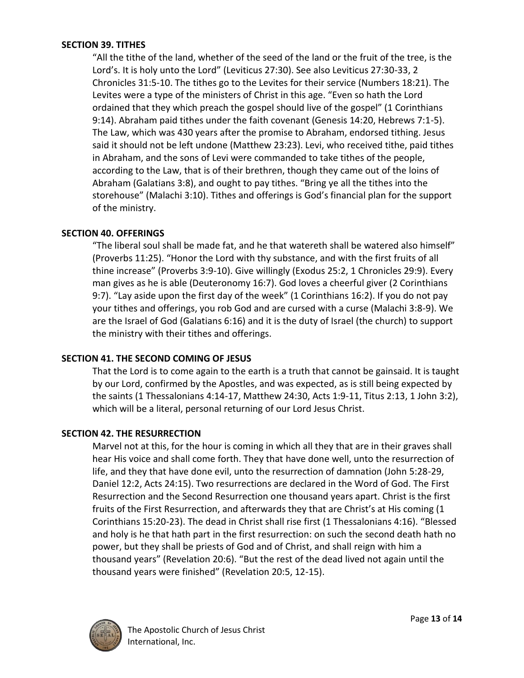#### **SECTION 39. TITHES**

"All the tithe of the land, whether of the seed of the land or the fruit of the tree, is the Lord's. It is holy unto the Lord" (Leviticus 27:30). See also Leviticus 27:30-33, 2 Chronicles 31:5-10. The tithes go to the Levites for their service (Numbers 18:21). The Levites were a type of the ministers of Christ in this age. "Even so hath the Lord ordained that they which preach the gospel should live of the gospel" (1 Corinthians 9:14). Abraham paid tithes under the faith covenant (Genesis 14:20, Hebrews 7:1-5). The Law, which was 430 years after the promise to Abraham, endorsed tithing. Jesus said it should not be left undone (Matthew 23:23). Levi, who received tithe, paid tithes in Abraham, and the sons of Levi were commanded to take tithes of the people, according to the Law, that is of their brethren, though they came out of the loins of Abraham (Galatians 3:8), and ought to pay tithes. "Bring ye all the tithes into the storehouse" (Malachi 3:10). Tithes and offerings is God's financial plan for the support of the ministry.

#### **SECTION 40. OFFERINGS**

"The liberal soul shall be made fat, and he that watereth shall be watered also himself" (Proverbs 11:25). "Honor the Lord with thy substance, and with the first fruits of all thine increase" (Proverbs 3:9-10). Give willingly (Exodus 25:2, 1 Chronicles 29:9). Every man gives as he is able (Deuteronomy 16:7). God loves a cheerful giver (2 Corinthians 9:7). "Lay aside upon the first day of the week" (1 Corinthians 16:2). If you do not pay your tithes and offerings, you rob God and are cursed with a curse (Malachi 3:8-9). We are the Israel of God (Galatians 6:16) and it is the duty of Israel (the church) to support the ministry with their tithes and offerings.

## **SECTION 41. THE SECOND COMING OF JESUS**

That the Lord is to come again to the earth is a truth that cannot be gainsaid. It is taught by our Lord, confirmed by the Apostles, and was expected, as is still being expected by the saints (1 Thessalonians 4:14-17, Matthew 24:30, Acts 1:9-11, Titus 2:13, 1 John 3:2), which will be a literal, personal returning of our Lord Jesus Christ.

#### **SECTION 42. THE RESURRECTION**

Marvel not at this, for the hour is coming in which all they that are in their graves shall hear His voice and shall come forth. They that have done well, unto the resurrection of life, and they that have done evil, unto the resurrection of damnation (John 5:28-29, Daniel 12:2, Acts 24:15). Two resurrections are declared in the Word of God. The First Resurrection and the Second Resurrection one thousand years apart. Christ is the first fruits of the First Resurrection, and afterwards they that are Christ's at His coming (1 Corinthians 15:20-23). The dead in Christ shall rise first (1 Thessalonians 4:16). "Blessed and holy is he that hath part in the first resurrection: on such the second death hath no power, but they shall be priests of God and of Christ, and shall reign with him a thousand years" (Revelation 20:6). "But the rest of the dead lived not again until the thousand years were finished" (Revelation 20:5, 12-15).